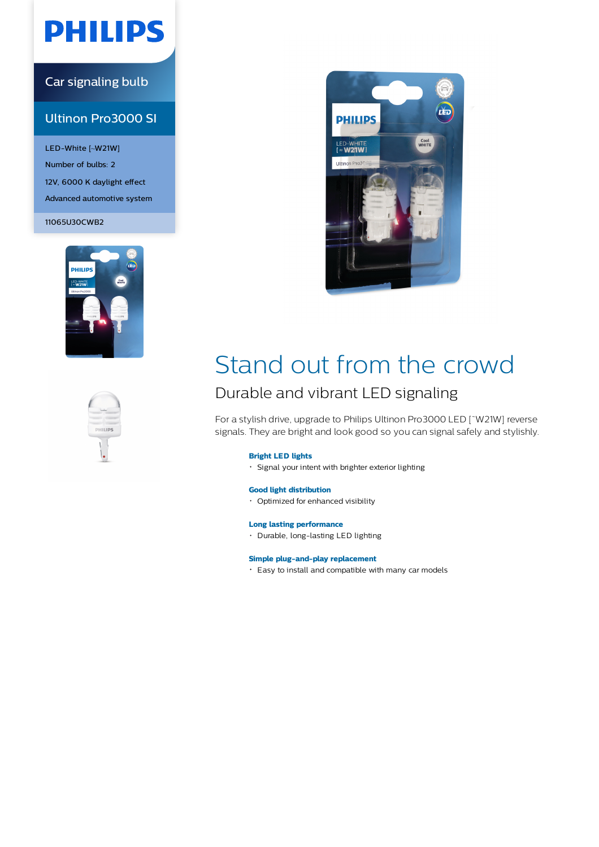# **PHILIPS**

### Car signaling bulb

### Ultinon Pro3000 SI

LED-White [~W21W] Number of bulbs: 2 12V, 6000 K daylight effect Advanced automotive system

11065U30CWB2







# Stand out from the crowd Durable and vibrant LED signaling

For a stylish drive, upgrade to Philips Ultinon Pro3000 LED [˜W21W] reverse signals. They are bright and look good so you can signal safely and stylishly.

#### **Bright LED lights**

Signal your intent with brighter exterior lighting

### **Good light distribution**

Optimized for enhanced visibility

#### **Long lasting performance**

• Durable, long-lasting LED lighting

#### **Simple plug-and-play replacement**

Easy to install and compatible with many car models